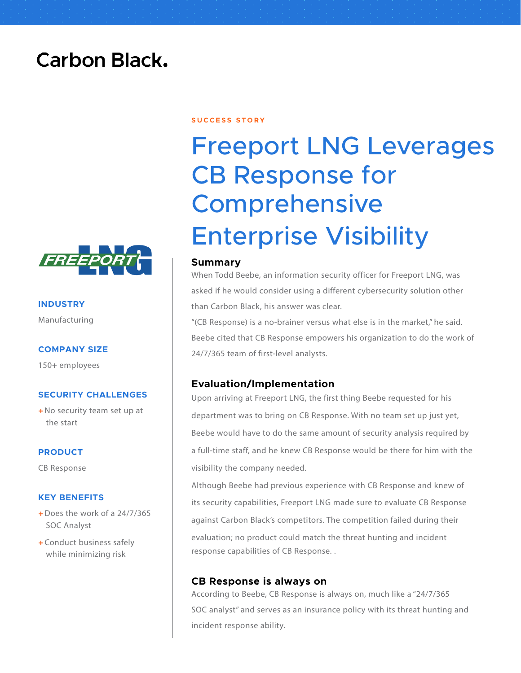## **Carbon Black.**



**INDUSTRY** Manufacturing

#### **COMPANY SIZE**

150+ employees

#### **SECURITY CHALLENGES**

+ No security team set up at the start

#### **PRODUCT**

CB Response

#### **KEY BENEFITS**

- $+$  Does the work of a 24/7/365 SOC Analyst
- + Conduct business safely while minimizing risk

#### **S U C C E S S S T O R Y**

# Freeport LNG Leverages CB Response for **Comprehensive** Enterprise Visibility

#### **Summary**

When Todd Beebe, an information security officer for Freeport LNG, was asked if he would consider using a different cybersecurity solution other than Carbon Black, his answer was clear.

"(CB Response) is a no-brainer versus what else is in the market," he said. Beebe cited that CB Response empowers his organization to do the work of 24/7/365 team of first-level analysts.

#### **Evaluation/Implementation**

Upon arriving at Freeport LNG, the first thing Beebe requested for his department was to bring on CB Response. With no team set up just yet, Beebe would have to do the same amount of security analysis required by a full-time staff, and he knew CB Response would be there for him with the visibility the company needed.

Although Beebe had previous experience with CB Response and knew of its security capabilities, Freeport LNG made sure to evaluate CB Response against Carbon Black's competitors. The competition failed during their evaluation; no product could match the threat hunting and incident response capabilities of CB Response. .

#### **CB Response is always on**

According to Beebe, CB Response is always on, much like a "24/7/365 SOC analyst" and serves as an insurance policy with its threat hunting and incident response ability.